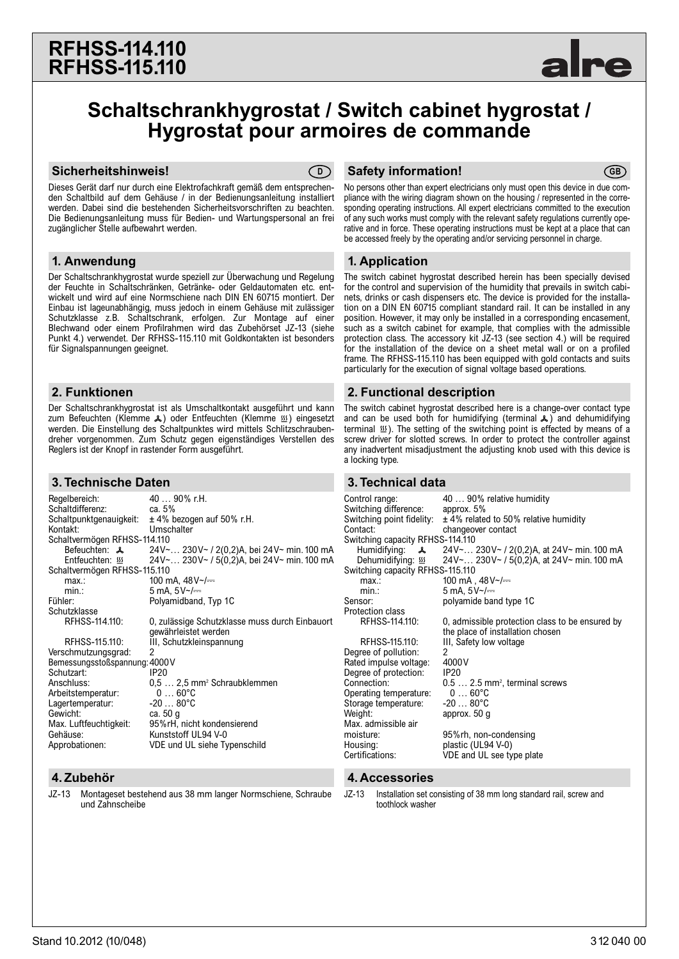

# **Schaltschrankhygrostat / Switch cabinet hygrostat / Hygrostat pour armoires de commande**

#### **Sicherheitshinweis! CD**



Dieses Gerät darf nur durch eine Elektrofachkraft gemäß dem entsprechenden Schaltbild auf dem Gehäuse / in der Bedienungsanleitung installiert werden. Dabei sind die bestehenden Sicherheitsvorschriften zu beachten. Die Bedienungsanleitung muss für Bedien- und Wartungspersonal an frei zugänglicher Stelle aufbewahrt werden.

#### **1. Anwendung**

Der Schaltschrankhygrostat wurde speziell zur Überwachung und Regelung der Feuchte in Schaltschränken, Getränke- oder Geldautomaten etc. entwickelt und wird auf eine Normschiene nach DIN EN 60715 montiert. Der Einbau ist lageunabhängig, muss jedoch in einem Gehäuse mit zulässiger Schutzklasse z.B. Schaltschrank, erfolgen. Zur Montage auf einer Blechwand oder einem Profilrahmen wird das Zubehörset JZ-13 (siehe Punkt 4.) verwendet. Der RFHSS-115.110 mit Goldkontakten ist besonders für Signalspannungen geeignet.

#### **2. Funktionen**

Der Schaltschrankhygrostat ist als Umschaltkontakt ausgeführt und kann zum Befeuchten (Klemme &) oder Entfeuchten (Klemme !) eingesetzt werden. Die Einstellung des Schaltpunktes wird mittels Schlitzschraubendreher vorgenommen. Zum Schutz gegen eigenständiges Verstellen des Reglers ist der Knopf in rastender Form ausgeführt.

### **3. Technische Daten**

| Regelbereich:                 | 40  90% r.H.                                   |  |
|-------------------------------|------------------------------------------------|--|
| Schaltdifferenz:              | ca. $5%$                                       |  |
| Schaltpunktgenauigkeit:       | $\pm$ 4% bezogen auf 50% r.H.                  |  |
| Kontakt:                      | Umschalter                                     |  |
| Schaltvermögen RFHSS-114.110  |                                                |  |
| Befeuchten: $\lambda$         | 24V~ 230V~ / 2(0,2)A, bei 24V~ min. 100 mA     |  |
| Entfeuchten: រយ               | 24V~ 230V~ / 5(0,2)A, bei 24V~ min. 100 mA     |  |
| Schaltvermögen RFHSS-115.110  |                                                |  |
| max:                          | 100 mA, $48V$ $\sim$ / $\equiv$                |  |
| min.                          | 5 mA. $5V$ $\sim$ / $=$                        |  |
| Fühler:                       | Polyamidband, Typ 1C                           |  |
| Schutzklasse                  |                                                |  |
| RFHSS-114.110:                | 0, zulässige Schutzklasse muss durch Einbauort |  |
|                               | gewährleistet werden                           |  |
| RFHSS-115.110:                | III, Schutzkleinspannung                       |  |
| Verschmutzungsgrad:           | 2                                              |  |
| Bemessungsstoßspannung: 4000V |                                                |  |
| Schutzart:                    | <b>IP20</b>                                    |  |
| Anschluss:                    | $0.5 2.5$ mm <sup>2</sup> Schraubklemmen       |  |
| Arbeitstemperatur:            | $0 \ldots 60$ °C                               |  |
| Lagertemperatur:              | $-2080^{\circ}$ C                              |  |
| Gewicht:                      | ca. 50 g                                       |  |
| Max. Luftfeuchtigkeit:        | 95%rH, nicht kondensierend                     |  |
| Gehäuse:                      | Kunststoff UL94 V-0                            |  |
| Approbationen:                | VDE und UL siehe Typenschild                   |  |
|                               |                                                |  |

## **4. Zubehör 4. Accessories**

JZ-13 Montageset bestehend aus 38 mm langer Normschiene, Schraube und Zahnscheibe

#### **Safety information!** (GB)

No persons other than expert electricians only must open this device in due compliance with the wiring diagram shown on the housing / represented in the corresponding operating instructions. All expert electricians committed to the execution of any such works must comply with the relevant safety regulations currently operative and in force. These operating instructions must be kept at a place that can be accessed freely by the operating and/or servicing personnel in charge.

## **1. Application**

The switch cabinet hygrostat described herein has been specially devised for the control and supervision of the humidity that prevails in switch cabinets, drinks or cash dispensers etc. The device is provided for the installation on a DIN EN 60715 compliant standard rail. It can be installed in any position. However, it may only be installed in a corresponding encasement, such as a switch cabinet for example, that complies with the admissible protection class. The accessory kit JZ-13 (see section 4.) will be required for the installation of the device on a sheet metal wall or on a profiled frame. The RFHSS-115.110 has been equipped with gold contacts and suits particularly for the execution of signal voltage based operations.

## **2. Functional description**

The switch cabinet hygrostat described here is a change-over contact type and can be used both for humidifying (terminal  $\lambda$ ) and dehumidifying terminal  $\mathfrak{W}$ ). The setting of the switching point is effected by means of a screw driver for slotted screws. In order to protect the controller against any inadvertent misadjustment the adjusting knob used with this device is a locking type.

## **3. Technical data**

| Control range:                   | 40  90% relative humidity                       |  |
|----------------------------------|-------------------------------------------------|--|
| Switching difference:            | approx. $5%$                                    |  |
| Switching point fidelity:        | $\pm$ 4% related to 50% relative humidity       |  |
| Contact:                         | changeover contact                              |  |
| Switching capacity RFHSS-114.110 |                                                 |  |
| Humidifying:<br>$\lambda$        | 24V~ 230V~ / 2(0,2)A, at 24V~ min. 100 mA       |  |
| Dehumidifying: 555               | 24V~ 230V~ / 5(0,2)A, at 24V~ min. 100 mA       |  |
| Switching capacity RFHSS-115.110 |                                                 |  |
| max:                             | 100 mA , $48V$ $\sim$ / $=$                     |  |
| min.                             | 5 mA, $5V$ $\sim$ / $=$                         |  |
| Sensor:                          | polyamide band type 1C                          |  |
| <b>Protection class</b>          |                                                 |  |
| RFHSS-114.110:                   | 0, admissible protection class to be ensured by |  |
|                                  | the place of installation chosen                |  |
| RFHSS-115.110:                   | III, Safety low voltage                         |  |
| Degree of pollution:             | 2                                               |  |
| Rated impulse voltage:           | 4000 V                                          |  |
| Degree of protection:            | IP20                                            |  |
| Connection:                      | $0.5$ 2.5 mm <sup>2</sup> , terminal screws     |  |
| Operating temperature:           | $060^{\circ}C$                                  |  |
| Storage temperature:             | $-2080^{\circ}$ C                               |  |
| Weight:                          | approx. 50 g                                    |  |
| Max. admissible air              |                                                 |  |
| moisture:                        | 95%rh, non-condensing                           |  |
| Housing:                         | plastic (UL94 V-0)                              |  |
| Certifications:                  | VDE and UL see type plate                       |  |
| 4. Accessories                   |                                                 |  |
|                                  |                                                 |  |

JZ-13 Installation set consisting of 38 mm long standard rail, screw and toothlock washer